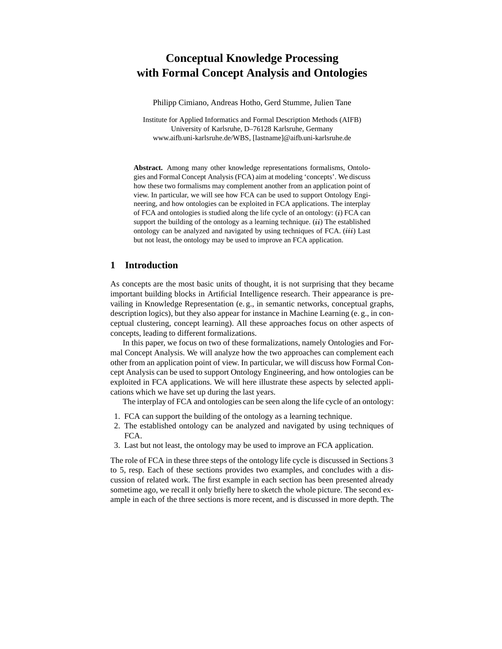# **Conceptual Knowledge Processing with Formal Concept Analysis and Ontologies**

Philipp Cimiano, Andreas Hotho, Gerd Stumme, Julien Tane

Institute for Applied Informatics and Formal Description Methods (AIFB) University of Karlsruhe, D–76128 Karlsruhe, Germany www.aifb.uni-karlsruhe.de/WBS, [lastname]@aifb.uni-karlsruhe.de

**Abstract.** Among many other knowledge representations formalisms, Ontologies and Formal Concept Analysis (FCA) aim at modeling 'concepts'. We discuss how these two formalisms may complement another from an application point of view. In particular, we will see how FCA can be used to support Ontology Engineering, and how ontologies can be exploited in FCA applications. The interplay of FCA and ontologies is studied along the life cycle of an ontology: ( ) FCA can support the building of the ontology as a learning technique.  $(ii)$  The established ontology can be analyzed and navigated by using techniques of FCA.  $(iii)$  Last but not least, the ontology may be used to improve an FCA application.

# **1 Introduction**

As concepts are the most basic units of thought, it is not surprising that they became important building blocks in Artificial Intelligence research. Their appearance is prevailing in Knowledge Representation (e. g., in semantic networks, conceptual graphs, description logics), but they also appear for instance in Machine Learning (e. g., in conceptual clustering, concept learning). All these approaches focus on other aspects of concepts, leading to different formalizations.

In this paper, we focus on two of these formalizations, namely Ontologies and Formal Concept Analysis. We will analyze how the two approaches can complement each other from an application point of view. In particular, we will discuss how Formal Concept Analysis can be used to support Ontology Engineering, and how ontologies can be exploited in FCA applications. We will here illustrate these aspects by selected applications which we have set up during the last years.

The interplay of FCA and ontologies can be seen along the life cycle of an ontology:

- 1. FCA can support the building of the ontology as a learning technique.
- 2. The established ontology can be analyzed and navigated by using techniques of FCA.
- 3. Last but not least, the ontology may be used to improve an FCA application.

The role of FCA in these three steps of the ontology life cycle is discussed in Sections 3 to 5, resp. Each of these sections provides two examples, and concludes with a discussion of related work. The first example in each section has been presented already sometime ago, we recall it only briefly here to sketch the whole picture. The second example in each of the three sections is more recent, and is discussed in more depth. The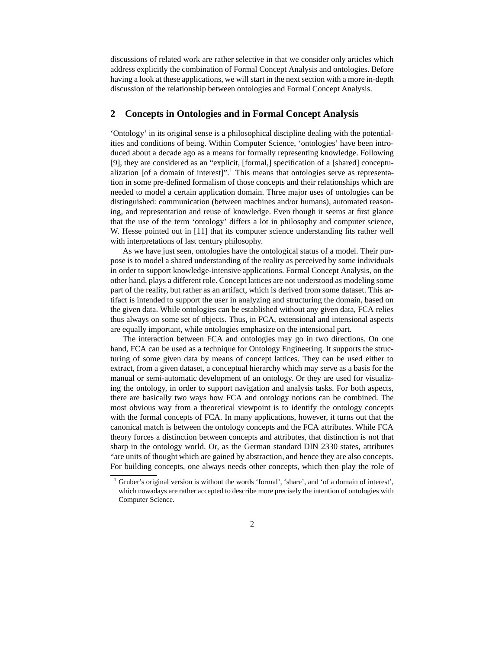discussions of related work are rather selective in that we consider only articles which address explicitly the combination of Formal Concept Analysis and ontologies. Before having a look at these applications, we will start in the next section with a more in-depth discussion of the relationship between ontologies and Formal Concept Analysis.

# **2 Concepts in Ontologies and in Formal Concept Analysis**

'Ontology' in its original sense is a philosophical discipline dealing with the potentialities and conditions of being. Within Computer Science, 'ontologies' have been introduced about a decade ago as a means for formally representing knowledge. Following [9], they are considered as an "explicit, [formal,] specification of a [shared] conceptualization [of a domain of interest]".<sup>1</sup> This means that ontologies serve as representation in some pre-defined formalism of those concepts and their relationships which are needed to model a certain application domain. Three major uses of ontologies can be distinguished: communication (between machines and/or humans), automated reasoning, and representation and reuse of knowledge. Even though it seems at first glance that the use of the term 'ontology' differs a lot in philosophy and computer science, W. Hesse pointed out in [11] that its computer science understanding fits rather well with interpretations of last century philosophy.

As we have just seen, ontologies have the ontological status of a model. Their purpose is to model a shared understanding of the reality as perceived by some individuals in order to support knowledge-intensive applications. Formal Concept Analysis, on the other hand, plays a different role. Concept lattices are not understood as modeling some part of the reality, but rather as an artifact, which is derived from some dataset. This artifact is intended to support the user in analyzing and structuring the domain, based on the given data. While ontologies can be established without any given data, FCA relies thus always on some set of objects. Thus, in FCA, extensional and intensional aspects are equally important, while ontologies emphasize on the intensional part.

The interaction between FCA and ontologies may go in two directions. On one hand, FCA can be used as a technique for Ontology Engineering. It supports the structuring of some given data by means of concept lattices. They can be used either to extract, from a given dataset, a conceptual hierarchy which may serve as a basis for the manual or semi-automatic development of an ontology. Or they are used for visualizing the ontology, in order to support navigation and analysis tasks. For both aspects, there are basically two ways how FCA and ontology notions can be combined. The most obvious way from a theoretical viewpoint is to identify the ontology concepts with the formal concepts of FCA. In many applications, however, it turns out that the canonical match is between the ontology concepts and the FCA attributes. While FCA theory forces a distinction between concepts and attributes, that distinction is not that sharp in the ontology world. Or, as the German standard DIN 2330 states, attributes "are units of thought which are gained by abstraction, and hence they are also concepts. For building concepts, one always needs other concepts, which then play the role of

<sup>&</sup>lt;sup>1</sup> Gruber's original version is without the words 'formal', 'share', and 'of a domain of interest', which nowadays are rather accepted to describe more precisely the intention of ontologies with Computer Science.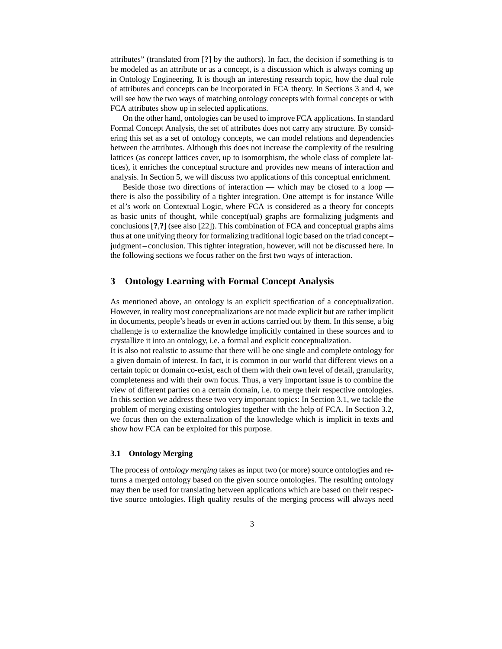attributes" (translated from [**?**] by the authors). In fact, the decision if something is to be modeled as an attribute or as a concept, is a discussion which is always coming up in Ontology Engineering. It is though an interesting research topic, how the dual role of attributes and concepts can be incorporated in FCA theory. In Sections 3 and 4, we will see how the two ways of matching ontology concepts with formal concepts or with FCA attributes show up in selected applications.

On the other hand, ontologies can be used to improve FCA applications. In standard Formal Concept Analysis, the set of attributes does not carry any structure. By considering this set as a set of ontology concepts, we can model relations and dependencies between the attributes. Although this does not increase the complexity of the resulting lattices (as concept lattices cover, up to isomorphism, the whole class of complete lattices), it enriches the conceptual structure and provides new means of interaction and analysis. In Section 5, we will discuss two applications of this conceptual enrichment.

Beside those two directions of interaction — which may be closed to a loop there is also the possibility of a tighter integration. One attempt is for instance Wille et al's work on Contextual Logic, where FCA is considered as a theory for concepts as basic units of thought, while concept(ual) graphs are formalizing judgments and conclusions [**?**,**?**] (see also [22]). This combination of FCA and conceptual graphs aims thus at one unifying theory for formalizing traditional logic based on the triad concept – judgment – conclusion. This tighter integration, however, will not be discussed here. In the following sections we focus rather on the first two ways of interaction.

# **3 Ontology Learning with Formal Concept Analysis**

As mentioned above, an ontology is an explicit specification of a conceptualization. However, in reality most conceptualizations are not made explicit but are rather implicit in documents, people's heads or even in actions carried out by them. In this sense, a big challenge is to externalize the knowledge implicitly contained in these sources and to crystallize it into an ontology, i.e. a formal and explicit conceptualization.

It is also not realistic to assume that there will be one single and complete ontology for a given domain of interest. In fact, it is common in our world that different views on a certain topic or domain co-exist, each of them with their own level of detail, granularity, completeness and with their own focus. Thus, a very important issue is to combine the view of different parties on a certain domain, i.e. to merge their respective ontologies. In this section we address these two very important topics: In Section 3.1, we tackle the problem of merging existing ontologies together with the help of FCA. In Section 3.2, we focus then on the externalization of the knowledge which is implicit in texts and show how FCA can be exploited for this purpose.

## **3.1 Ontology Merging**

The process of *ontology merging* takes as input two (or more) source ontologies and returns a merged ontology based on the given source ontologies. The resulting ontology may then be used for translating between applications which are based on their respective source ontologies. High quality results of the merging process will always need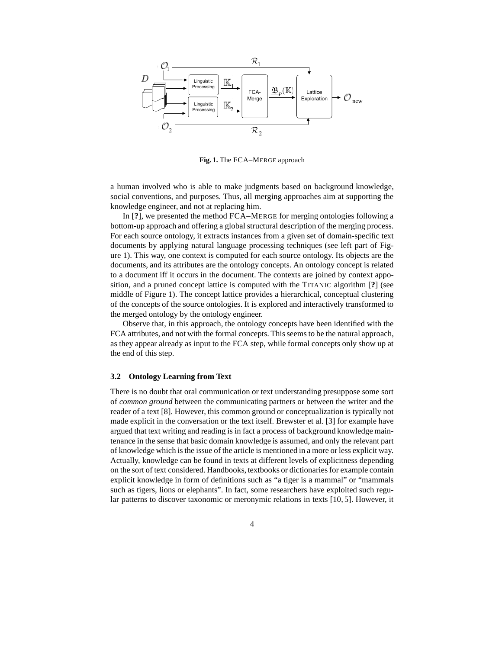

**Fig. 1.** The FCA–MERGE approach

a human involved who is able to make judgments based on background knowledge, social conventions, and purposes. Thus, all merging approaches aim at supporting the knowledge engineer, and not at replacing him.

In [**?**], we presented the method FCA–MERGE for merging ontologies following a bottom-up approach and offering a global structural description of the merging process. For each source ontology, it extracts instances from a given set of domain-specific text documents by applying natural language processing techniques (see left part of Figure 1). This way, one context is computed for each source ontology. Its objects are the documents, and its attributes are the ontology concepts. An ontology concept is related to a document iff it occurs in the document. The contexts are joined by context apposition, and a pruned concept lattice is computed with the TITANIC algorithm [**?**] (see middle of Figure 1). The concept lattice provides a hierarchical, conceptual clustering of the concepts of the source ontologies. It is explored and interactively transformed to the merged ontology by the ontology engineer.

Observe that, in this approach, the ontology concepts have been identified with the FCA attributes, and not with the formal concepts. This seems to be the natural approach, as they appear already as input to the FCA step, while formal concepts only show up at the end of this step.

### **3.2 Ontology Learning from Text**

There is no doubt that oral communication or text understanding presuppose some sort of *common ground* between the communicating partners or between the writer and the reader of a text [8]. However, this common ground or conceptualization is typically not made explicit in the conversation or the text itself. Brewster et al. [3] for example have argued that text writing and reading is in fact a process of background knowledge maintenance in the sense that basic domain knowledge is assumed, and only the relevant part of knowledge which is the issue of the article is mentioned in a more or less explicit way. Actually, knowledge can be found in texts at different levels of explicitness depending on the sort of text considered. Handbooks, textbooks or dictionariesfor example contain explicit knowledge in form of definitions such as "a tiger is a mammal" or "mammals such as tigers, lions or elephants". In fact, some researchers have exploited such regular patterns to discover taxonomic or meronymic relations in texts [10, 5]. However, it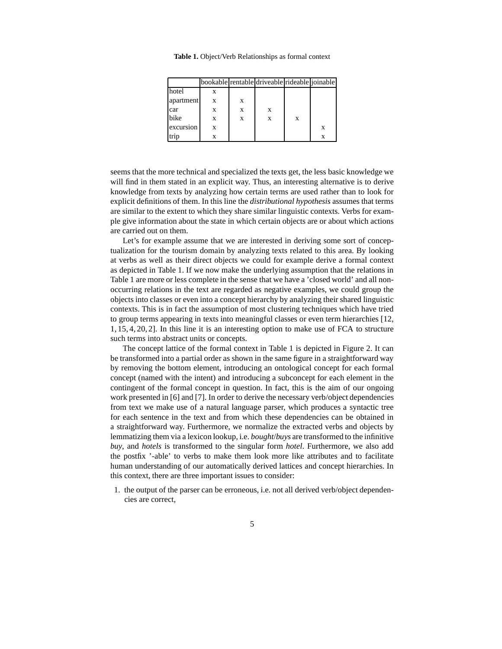**Table 1.** Object/Verb Relationships as formal context

|           |   |   | bookable rentable driveable rideable joinable |   |   |
|-----------|---|---|-----------------------------------------------|---|---|
| hotel     |   |   |                                               |   |   |
| apartment |   | X |                                               |   |   |
| car       | X | X | X                                             |   |   |
| bike      | X | X | X                                             | X |   |
| excursion | X |   |                                               |   | X |
|           |   |   |                                               |   | X |

seems that the more technical and specialized the texts get, the less basic knowledge we will find in them stated in an explicit way. Thus, an interesting alternative is to derive knowledge from texts by analyzing how certain terms are used rather than to look for explicit definitions of them. In this line the *distributional hypothesis* assumes that terms are similar to the extent to which they share similar linguistic contexts. Verbs for example give information about the state in which certain objects are or about which actions are carried out on them.

Let's for example assume that we are interested in deriving some sort of conceptualization for the tourism domain by analyzing texts related to this area. By looking at verbs as well as their direct objects we could for example derive a formal context as depicted in Table 1. If we now make the underlying assumption that the relations in Table 1 are more or less complete in the sense that we have a 'closed world' and all nonoccurring relations in the text are regarded as negative examples, we could group the objects into classes or even into a concept hierarchy by analyzing their shared linguistic contexts. This is in fact the assumption of most clustering techniques which have tried to group terms appearing in texts into meaningful classes or even term hierarchies [12, 1, 15, 4, 20, 2]. In this line it is an interesting option to make use of FCA to structure such terms into abstract units or concepts.

The concept lattice of the formal context in Table 1 is depicted in Figure 2. It can be transformed into a partial order as shown in the same figure in a straightforward way by removing the bottom element, introducing an ontological concept for each formal concept (named with the intent) and introducing a subconcept for each element in the contingent of the formal concept in question. In fact, this is the aim of our ongoing work presented in [6] and [7]. In order to derive the necessary verb/object dependencies from text we make use of a natural language parser, which produces a syntactic tree for each sentence in the text and from which these dependencies can be obtained in a straightforward way. Furthermore, we normalize the extracted verbs and objects by lemmatizing them via a lexicon lookup, i.e. *bought*/*buys* are transformed to the infinitive *buy*, and *hotels* is transformed to the singular form *hotel*. Furthermore, we also add the postfix '-able' to verbs to make them look more like attributes and to facilitate human understanding of our automatically derived lattices and concept hierarchies. In this context, there are three important issues to consider:

1. the output of the parser can be erroneous, i.e. not all derived verb/object dependencies are correct,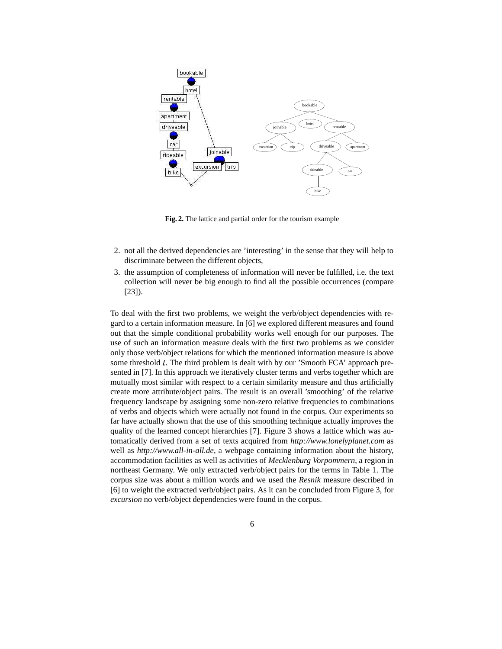

**Fig. 2.** The lattice and partial order for the tourism example

- 2. not all the derived dependencies are 'interesting' in the sense that they will help to discriminate between the different objects,
- 3. the assumption of completeness of information will never be fulfilled, i.e. the text collection will never be big enough to find all the possible occurrences (compare [23]).

To deal with the first two problems, we weight the verb/object dependencies with regard to a certain information measure. In [6] we explored different measures and found out that the simple conditional probability works well enough for our purposes. The use of such an information measure deals with the first two problems as we consider only those verb/object relations for which the mentioned information measure is above some threshold  $t$ . The third problem is dealt with by our 'Smooth FCA' approach presented in [7]. In this approach we iteratively cluster terms and verbs together which are mutually most similar with respect to a certain similarity measure and thus artificially create more attribute/object pairs. The result is an overall 'smoothing' of the relative frequency landscape by assigning some non-zero relative frequencies to combinations of verbs and objects which were actually not found in the corpus. Our experiments so far have actually shown that the use of this smoothing technique actually improves the quality of the learned concept hierarchies [7]. Figure 3 shows a lattice which was automatically derived from a set of texts acquired from *http://www.lonelyplanet.com* as well as *http://www.all-in-all.de*, a webpage containing information about the history, accommodation facilities as well as activities of *Mecklenburg Vorpommern*, a region in northeast Germany. We only extracted verb/object pairs for the terms in Table 1. The corpus size was about a million words and we used the *Resnik* measure described in [6] to weight the extracted verb/object pairs. As it can be concluded from Figure 3, for *excursion* no verb/object dependencies were found in the corpus.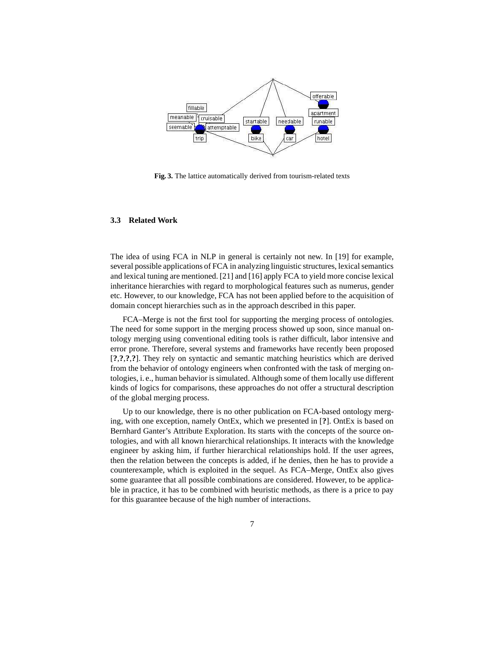

**Fig. 3.** The lattice automatically derived from tourism-related texts

### **3.3 Related Work**

The idea of using FCA in NLP in general is certainly not new. In [19] for example, several possible applications of FCA in analyzing linguistic structures, lexical semantics and lexical tuning are mentioned. [21] and [16] apply FCA to yield more concise lexical inheritance hierarchies with regard to morphological features such as numerus, gender etc. However, to our knowledge, FCA has not been applied before to the acquisition of domain concept hierarchies such as in the approach described in this paper.

FCA–Merge is not the first tool for supporting the merging process of ontologies. The need for some support in the merging process showed up soon, since manual ontology merging using conventional editing tools is rather difficult, labor intensive and error prone. Therefore, several systems and frameworks have recently been proposed [**?**,**?**,**?**,**?**]. They rely on syntactic and semantic matching heuristics which are derived from the behavior of ontology engineers when confronted with the task of merging ontologies, i. e., human behavior is simulated. Although some of them locally use different kinds of logics for comparisons, these approaches do not offer a structural description of the global merging process.

Up to our knowledge, there is no other publication on FCA-based ontology merging, with one exception, namely OntEx, which we presented in [**?**]. OntEx is based on Bernhard Ganter's Attribute Exploration. Its starts with the concepts of the source ontologies, and with all known hierarchical relationships. It interacts with the knowledge engineer by asking him, if further hierarchical relationships hold. If the user agrees, then the relation between the concepts is added, if he denies, then he has to provide a counterexample, which is exploited in the sequel. As FCA–Merge, OntEx also gives some guarantee that all possible combinations are considered. However, to be applicable in practice, it has to be combined with heuristic methods, as there is a price to pay for this guarantee because of the high number of interactions.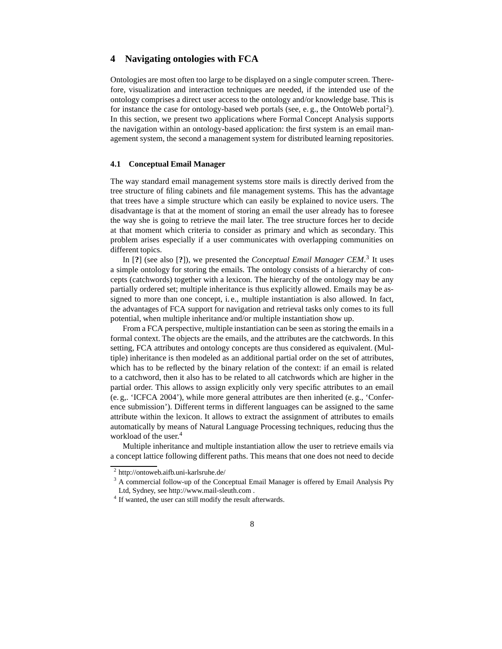# **4 Navigating ontologies with FCA**

Ontologies are most often too large to be displayed on a single computer screen. Therefore, visualization and interaction techniques are needed, if the intended use of the ontology comprises a direct user access to the ontology and/or knowledge base. This is for instance the case for ontology-based web portals (see, e.g., the OntoWeb portal<sup>2</sup>). In this section, we present two applications where Formal Concept Analysis supports the navigation within an ontology-based application: the first system is an email management system, the second a management system for distributed learning repositories.

#### **4.1 Conceptual Email Manager**

The way standard email management systems store mails is directly derived from the tree structure of filing cabinets and file management systems. This has the advantage that trees have a simple structure which can easily be explained to novice users. The disadvantage is that at the moment of storing an email the user already has to foresee the way she is going to retrieve the mail later. The tree structure forces her to decide at that moment which criteria to consider as primary and which as secondary. This problem arises especially if a user communicates with overlapping communities on different topics.

In [**?**] (see also [**?**]), we presented the *Conceptual Email Manager CEM*. 3 It uses a simple ontology for storing the emails. The ontology consists of a hierarchy of concepts (catchwords) together with a lexicon. The hierarchy of the ontology may be any partially ordered set; multiple inheritance is thus explicitly allowed. Emails may be assigned to more than one concept, i. e., multiple instantiation is also allowed. In fact, the advantages of FCA support for navigation and retrieval tasks only comes to its full potential, when multiple inheritance and/or multiple instantiation show up.

From a FCA perspective, multiple instantiation can be seen as storing the emails in a formal context. The objects are the emails, and the attributes are the catchwords. In this setting, FCA attributes and ontology concepts are thus considered as equivalent. (Multiple) inheritance is then modeled as an additional partial order on the set of attributes, which has to be reflected by the binary relation of the context: if an email is related to a catchword, then it also has to be related to all catchwords which are higher in the partial order. This allows to assign explicitly only very specific attributes to an email (e. g,. 'ICFCA 2004'), while more general attributes are then inherited (e. g., 'Conference submission'). Different terms in different languages can be assigned to the same attribute within the lexicon. It allows to extract the assignment of attributes to emails automatically by means of Natural Language Processing techniques, reducing thus the workload of the user. 4

Multiple inheritance and multiple instantiation allow the user to retrieve emails via a concept lattice following different paths. This means that one does not need to decide

<sup>&</sup>lt;sup>2</sup> http://ontoweb.aifb.uni-karlsruhe.de/

<sup>&</sup>lt;sup>3</sup> A commercial follow-up of the Conceptual Email Manager is offered by Email Analysis Pty Ltd, Sydney, see http://www.mail-sleuth.com .

<sup>&</sup>lt;sup>4</sup> If wanted, the user can still modify the result afterwards.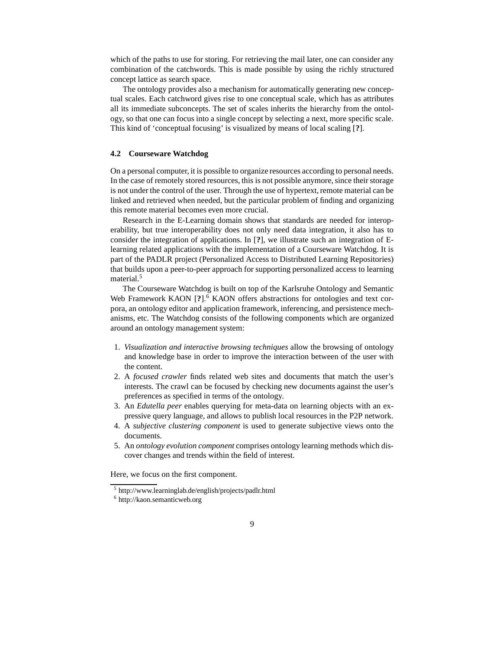which of the paths to use for storing. For retrieving the mail later, one can consider any combination of the catchwords. This is made possible by using the richly structured concept lattice as search space.

The ontology provides also a mechanism for automatically generating new conceptual scales. Each catchword gives rise to one conceptual scale, which has as attributes all its immediate subconcepts. The set of scales inherits the hierarchy from the ontology, so that one can focus into a single concept by selecting a next, more specific scale. This kind of 'conceptual focusing' is visualized by means of local scaling [**?**].

## **4.2 Courseware Watchdog**

On a personal computer, it is possible to organize resources according to personal needs. In the case of remotely stored resources, this is not possible anymore, since their storage is not under the control of the user. Through the use of hypertext, remote material can be linked and retrieved when needed, but the particular problem of finding and organizing this remote material becomes even more crucial.

Research in the E-Learning domain shows that standards are needed for interoperability, but true interoperability does not only need data integration, it also has to consider the integration of applications. In [**?**], we illustrate such an integration of Elearning related applications with the implementation of a Courseware Watchdog. It is part of the PADLR project (Personalized Access to Distributed Learning Repositories) that builds upon a peer-to-peer approach for supporting personalized access to learning material.<sup>5</sup>

The Courseware Watchdog is built on top of the Karlsruhe Ontology and Semantic Web Framework KAON [?].<sup>6</sup> KAON offers abstractions for ontologies and text corpora, an ontology editor and application framework, inferencing, and persistence mechanisms, etc. The Watchdog consists of the following components which are organized around an ontology management system:

- 1. *Visualization and interactive browsing techniques* allow the browsing of ontology and knowledge base in order to improve the interaction between of the user with the content.
- 2. A *focused crawler* finds related web sites and documents that match the user's interests. The crawl can be focused by checking new documents against the user's preferences as specified in terms of the ontology.
- 3. An *Edutella peer* enables querying for meta-data on learning objects with an expressive query language, and allows to publish local resources in the P2P network.
- 4. A *subjective clustering component* is used to generate subjective views onto the documents.
- 5. An *ontology evolution component* comprises ontology learning methods which discover changes and trends within the field of interest.

Here, we focus on the first component.

<sup>5</sup> http://www.learninglab.de/english/projects/padlr.html

<sup>6</sup> http://kaon.semanticweb.org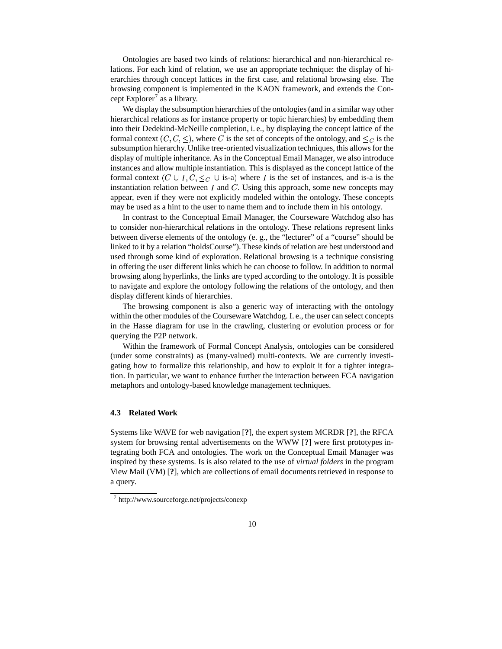Ontologies are based two kinds of relations: hierarchical and non-hierarchical relations. For each kind of relation, we use an appropriate technique: the display of hierarchies through concept lattices in the first case, and relational browsing else. The browsing component is implemented in the KAON framework, and extends the Concept Explorer<sup>7</sup> as a library.

We display the subsumption hierarchies of the ontologies (and in a similar way other hierarchical relations as for instance property or topic hierarchies) by embedding them into their Dedekind-McNeille completion, i. e., by displaying the concept lattice of the formal context  $(C, C, \leq)$ , where C is the set of concepts of the ontology, and  $\leq_C$  is the subsumption hierarchy. Unlike tree-oriented visualization techniques, this allows for the display of multiple inheritance. As in the Conceptual Email Manager, we also introduce instances and allow multiple instantiation. This is displayed as the concept lattice of the formal context  $(C \cup I, C, \leq_C \cup \text{is-a})$  where I is the set of instances, and is-a is the instantiation relation between  $I$  and  $C$ . Using this approach, some new concepts may appear, even if they were not explicitly modeled within the ontology. These concepts may be used as a hint to the user to name them and to include them in his ontology.

In contrast to the Conceptual Email Manager, the Courseware Watchdog also has to consider non-hierarchical relations in the ontology. These relations represent links between diverse elements of the ontology (e. g., the "lecturer" of a "course" should be linked to it by a relation "holdsCourse"). These kinds of relation are best understood and used through some kind of exploration. Relational browsing is a technique consisting in offering the user different links which he can choose to follow. In addition to normal browsing along hyperlinks, the links are typed according to the ontology. It is possible to navigate and explore the ontology following the relations of the ontology, and then display different kinds of hierarchies.

The browsing component is also a generic way of interacting with the ontology within the other modules of the Courseware Watchdog. I. e., the user can select concepts in the Hasse diagram for use in the crawling, clustering or evolution process or for querying the P2P network.

Within the framework of Formal Concept Analysis, ontologies can be considered (under some constraints) as (many-valued) multi-contexts. We are currently investigating how to formalize this relationship, and how to exploit it for a tighter integration. In particular, we want to enhance further the interaction between FCA navigation metaphors and ontology-based knowledge management techniques.

#### **4.3 Related Work**

Systems like WAVE for web navigation [**?**], the expert system MCRDR [**?**], the RFCA system for browsing rental advertisements on the WWW [**?**] were first prototypes integrating both FCA and ontologies. The work on the Conceptual Email Manager was inspired by these systems. Is is also related to the use of *virtual folders* in the program View Mail (VM) [**?**], which are collections of email documents retrieved in response to a query.

<sup>7</sup> http://www.sourceforge.net/projects/conexp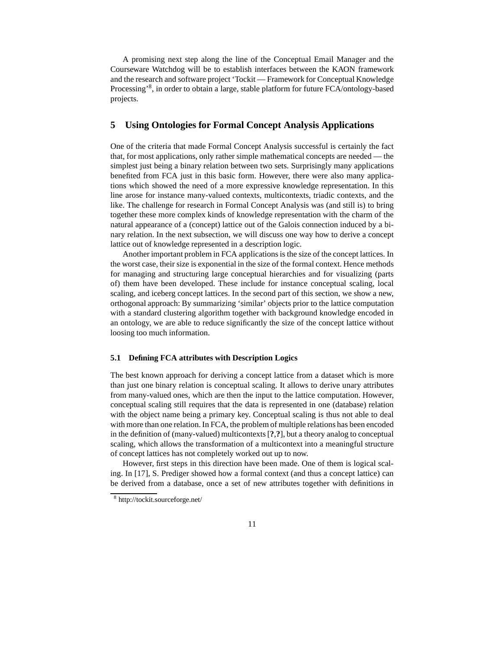A promising next step along the line of the Conceptual Email Manager and the Courseware Watchdog will be to establish interfaces between the KAON framework and the research and software project 'Tockit — Framework for Conceptual Knowledge Processing'<sup>8</sup>, in order to obtain a large, stable platform for future FCA/ontology-based projects.

# **5 Using Ontologies for Formal Concept Analysis Applications**

One of the criteria that made Formal Concept Analysis successful is certainly the fact that, for most applications, only rather simple mathematical concepts are needed — the simplest just being a binary relation between two sets. Surprisingly many applications benefited from FCA just in this basic form. However, there were also many applications which showed the need of a more expressive knowledge representation. In this line arose for instance many-valued contexts, multicontexts, triadic contexts, and the like. The challenge for research in Formal Concept Analysis was (and still is) to bring together these more complex kinds of knowledge representation with the charm of the natural appearance of a (concept) lattice out of the Galois connection induced by a binary relation. In the next subsection, we will discuss one way how to derive a concept lattice out of knowledge represented in a description logic.

Another important problem in FCA applicationsis the size of the concept lattices. In the worst case, their size is exponential in the size of the formal context. Hence methods for managing and structuring large conceptual hierarchies and for visualizing (parts of) them have been developed. These include for instance conceptual scaling, local scaling, and iceberg concept lattices. In the second part of this section, we show a new, orthogonal approach: By summarizing 'similar' objects prior to the lattice computation with a standard clustering algorithm together with background knowledge encoded in an ontology, we are able to reduce significantly the size of the concept lattice without loosing too much information.

### **5.1 Defining FCA attributes with Description Logics**

The best known approach for deriving a concept lattice from a dataset which is more than just one binary relation is conceptual scaling. It allows to derive unary attributes from many-valued ones, which are then the input to the lattice computation. However, conceptual scaling still requires that the data is represented in one (database) relation with the object name being a primary key. Conceptual scaling is thus not able to deal with more than one relation. In FCA, the problem of multiple relations has been encoded in the definition of (many-valued) multicontexts[**?**,**?**], but a theory analog to conceptual scaling, which allows the transformation of a multicontext into a meaningful structure of concept lattices has not completely worked out up to now.

However, first steps in this direction have been made. One of them is logical scaling. In [17], S. Prediger showed how a formal context (and thus a concept lattice) can be derived from a database, once a set of new attributes together with definitions in

<sup>8</sup> http://tockit.sourceforge.net/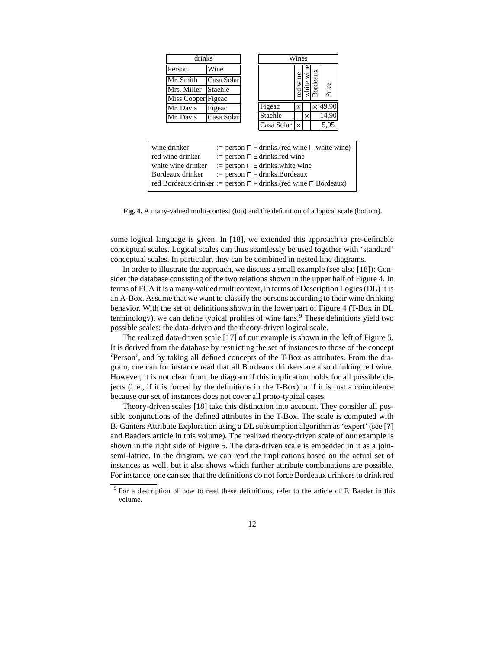|                                                                                                                                                                                                                                                                      | drinks                                            |            |  | Wines          |   |       |          |       |  |  |  |
|----------------------------------------------------------------------------------------------------------------------------------------------------------------------------------------------------------------------------------------------------------------------|---------------------------------------------------|------------|--|----------------|---|-------|----------|-------|--|--|--|
|                                                                                                                                                                                                                                                                      | Person                                            | Wine       |  |                |   |       |          |       |  |  |  |
|                                                                                                                                                                                                                                                                      | Mr. Smith<br>Casa Solar<br>Mrs. Miller<br>Staehle |            |  |                |   | white | ordeaux  | Price |  |  |  |
|                                                                                                                                                                                                                                                                      |                                                   |            |  |                |   |       |          |       |  |  |  |
|                                                                                                                                                                                                                                                                      | Miss Cooper Figeac                                |            |  |                |   |       |          |       |  |  |  |
|                                                                                                                                                                                                                                                                      | Mr. Davis                                         | Figeac     |  | Figeac         | × |       | $\times$ | 49,90 |  |  |  |
|                                                                                                                                                                                                                                                                      | Mr. Davis                                         | Casa Solar |  | Staehle        |   | ×     |          | 14,90 |  |  |  |
|                                                                                                                                                                                                                                                                      |                                                   |            |  | Casa Solar   × |   |       |          | 5,95  |  |  |  |
|                                                                                                                                                                                                                                                                      |                                                   |            |  |                |   |       |          |       |  |  |  |
| wine drinker<br>$\Xi$ person $\Box$ drinks (red wine $\Box$ white wine)<br>red wine drinker<br>$:=$ person $\Box$ $\exists$ drinks red wine<br>white wine drinker<br>$:=$ person $\Box$ drinks white wine<br>Bordeaux drinker<br>$:=$ person $\Box$ drinks. Bordeaux |                                                   |            |  |                |   |       |          |       |  |  |  |
| red Bordeaux drinker := person $\Box$ drinks.(red wine $\Box$ Bordeaux)                                                                                                                                                                                              |                                                   |            |  |                |   |       |          |       |  |  |  |

**Fig. 4.** A many-valued multi-context (top) and the definition of a logical scale (bottom).

some logical language is given. In [18], we extended this approach to pre-definable conceptual scales. Logical scales can thus seamlessly be used together with 'standard' conceptual scales. In particular, they can be combined in nested line diagrams.

In order to illustrate the approach, we discuss a small example (see also [18]): Consider the database consisting of the two relations shown in the upper half of Figure 4. In terms of FCA it is a many-valued multicontext, in terms of Description Logics (DL) it is an A-Box. Assume that we want to classify the persons according to their wine drinking behavior. With the set of definitions shown in the lower part of Figure 4 (T-Box in DL terminology), we can define typical profiles of wine fans.<sup>9</sup> These definitions yield two possible scales: the data-driven and the theory-driven logical scale.

The realized data-driven scale [17] of our example is shown in the left of Figure 5. It is derived from the database by restricting the set of instances to those of the concept 'Person', and by taking all defined concepts of the T-Box as attributes. From the diagram, one can for instance read that all Bordeaux drinkers are also drinking red wine. However, it is not clear from the diagram if this implication holds for all possible objects (i. e., if it is forced by the definitions in the T-Box) or if it is just a coincidence because our set of instances does not cover all proto-typical cases.

Theory-driven scales [18] take this distinction into account. They consider all possible conjunctions of the defined attributes in the T-Box. The scale is computed with B. Ganters Attribute Exploration using a DL subsumption algorithm as 'expert' (see [**?**] and Baaders article in this volume). The realized theory-driven scale of our example is shown in the right side of Figure 5. The data-driven scale is embedded in it as a joinsemi-lattice. In the diagram, we can read the implications based on the actual set of instances as well, but it also shows which further attribute combinations are possible. For instance, one can see that the definitions do not force Bordeaux drinkers to drink red

<sup>&</sup>lt;sup>9</sup> For a description of how to read these definitions, refer to the article of F. Baader in this volume.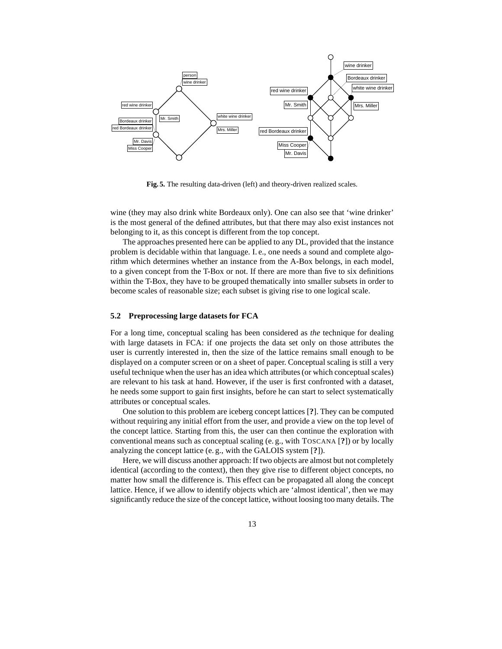

**Fig. 5.** The resulting data-driven (left) and theory-driven realized scales.

wine (they may also drink white Bordeaux only). One can also see that 'wine drinker' is the most general of the defined attributes, but that there may also exist instances not belonging to it, as this concept is different from the top concept.

The approaches presented here can be applied to any DL, provided that the instance problem is decidable within that language. I. e., one needs a sound and complete algorithm which determines whether an instance from the A-Box belongs, in each model, to a given concept from the T-Box or not. If there are more than five to six definitions within the T-Box, they have to be grouped thematically into smaller subsets in order to become scales of reasonable size; each subset is giving rise to one logical scale.

### **5.2 Preprocessing large datasets for FCA**

For a long time, conceptual scaling has been considered as *the* technique for dealing with large datasets in FCA: if one projects the data set only on those attributes the user is currently interested in, then the size of the lattice remains small enough to be displayed on a computer screen or on a sheet of paper. Conceptual scaling is still a very useful technique when the user has an idea which attributes (or which conceptual scales) are relevant to his task at hand. However, if the user is first confronted with a dataset, he needs some support to gain first insights, before he can start to select systematically attributes or conceptual scales.

One solution to this problem are iceberg concept lattices [**?**]. They can be computed without requiring any initial effort from the user, and provide a view on the top level of the concept lattice. Starting from this, the user can then continue the exploration with conventional means such as conceptual scaling (e. g., with TOSCANA [**?**]) or by locally analyzing the concept lattice (e. g., with the GALOIS system [**?**]).

Here, we will discuss another approach: If two objects are almost but not completely identical (according to the context), then they give rise to different object concepts, no matter how small the difference is. This effect can be propagated all along the concept lattice. Hence, if we allow to identify objects which are 'almost identical', then we may significantly reduce the size of the concept lattice, without loosing too many details. The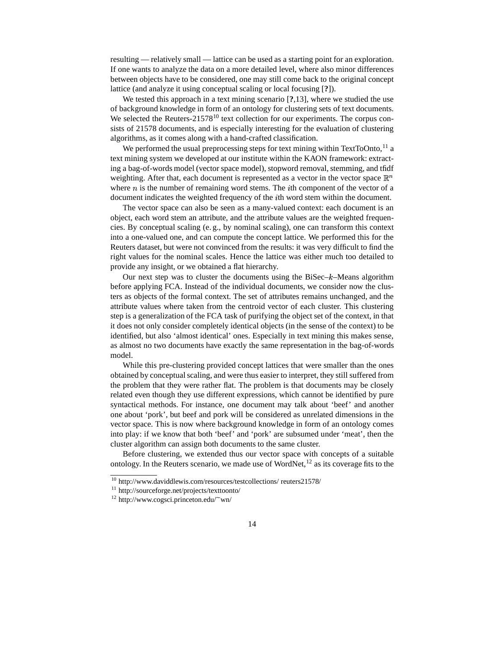resulting — relatively small — lattice can be used as a starting point for an exploration. If one wants to analyze the data on a more detailed level, where also minor differences between objects have to be considered, one may still come back to the original concept lattice (and analyze it using conceptual scaling or local focusing [**?**]).

We tested this approach in a text mining scenario [**?**,13], where we studied the use of background knowledge in form of an ontology for clustering sets of text documents. We selected the Reuters- $21578^{10}$  text collection for our experiments. The corpus consists of 21578 documents, and is especially interesting for the evaluation of clustering algorithms, as it comes along with a hand-crafted classification.

We performed the usual preprocessing steps for text mining within TextToOnto, $^{11}$  a text mining system we developed at our institute within the KAON framework: extracting a bag-of-words model (vector space model), stopword removal, stemming, and tfidf weighting. After that, each document is represented as a vector in the vector space  $\mathbb{R}^n$ where  $n$  is the number of remaining word stems. The *i*th component of the vector of a document indicates the weighted frequency of the  $i$ th word stem within the document.

The vector space can also be seen as a many-valued context: each document is an object, each word stem an attribute, and the attribute values are the weighted frequencies. By conceptual scaling (e. g., by nominal scaling), one can transform this context into a one-valued one, and can compute the concept lattice. We performed this for the Reuters dataset, but were not convinced from the results: it was very difficult to find the right values for the nominal scales. Hence the lattice was either much too detailed to provide any insight, or we obtained a flat hierarchy.

Our next step was to cluster the documents using the BiSec– $k$ –Means algorithm before applying FCA. Instead of the individual documents, we consider now the clusters as objects of the formal context. The set of attributes remains unchanged, and the attribute values where taken from the centroid vector of each cluster. This clustering step is a generalization of the FCA task of purifying the object set of the context, in that it does not only consider completely identical objects (in the sense of the context) to be identified, but also 'almost identical' ones. Especially in text mining this makes sense, as almost no two documents have exactly the same representation in the bag-of-words model.

While this pre-clustering provided concept lattices that were smaller than the ones obtained by conceptualscaling, and were thus easier to interpret, they still suffered from the problem that they were rather flat. The problem is that documents may be closely related even though they use different expressions, which cannot be identified by pure syntactical methods. For instance, one document may talk about 'beef' and another one about 'pork', but beef and pork will be considered as unrelated dimensions in the vector space. This is now where background knowledge in form of an ontology comes into play: if we know that both 'beef' and 'pork' are subsumed under 'meat', then the cluster algorithm can assign both documents to the same cluster.

Before clustering, we extended thus our vector space with concepts of a suitable ontology. In the Reuters scenario, we made use of WordNet, $12$  as its coverage fits to the

<sup>10</sup> http://www.daviddlewis.com/resources/testcollections/ reuters21578/

<sup>11</sup> http://sourceforge.net/projects/texttoonto/

 $12$  http://www.cogsci.princeton.edu/ wn/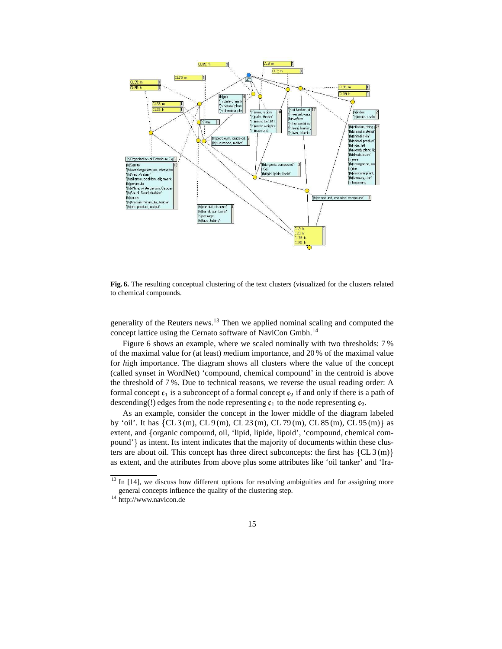

**Fig. 6.** The resulting conceptual clustering of the text clusters (visualized for the clusters related to chemical compounds.

generality of the Reuters news.<sup>13</sup> Then we applied nominal scaling and computed the concept lattice using the Cernato software of NaviCon Gmbh.<sup>14</sup>

Figure 6 shows an example, where we scaled nominally with two thresholds: 7 % of the maximal value for (at least) *m*edium importance, and 20 % of the maximal value for *h*igh importance. The diagram shows all clusters where the value of the concept (called synset in WordNet) 'compound, chemical compound' in the centroid is above the threshold of 7 %. Due to technical reasons, we reverse the usual reading order: A formal concept  $c_1$  is a subconcept of a formal concept  $c_2$  if and only if there is a path of descending(!) edges from the node representing  $\mathfrak{c}_1$  to the node representing  $\mathfrak{c}_2$ .

As an example, consider the concept in the lower middle of the diagram labeled by 'oil'. It has  $\{CL 3(m), CL 9(m), CL 23(m), CL 79(m), CL 85(m), CL 95(m)\}$  as extent, and {organic compound, oil, 'lipid, lipide, lipoid', 'compound, chemical compound' as intent. Its intent indicates that the majority of documents within these clusters are about oil. This concept has three direct subconcepts: the first has  ${CL3(m)}$ as extent, and the attributes from above plus some attributes like 'oil tanker' and 'Ira-

<sup>&</sup>lt;sup>13</sup> In [14], we discuss how different options for resolving ambiguities and for assigning more general concepts influence the quality of the clustering step.

<sup>&</sup>lt;sup>14</sup> http://www.navicon.de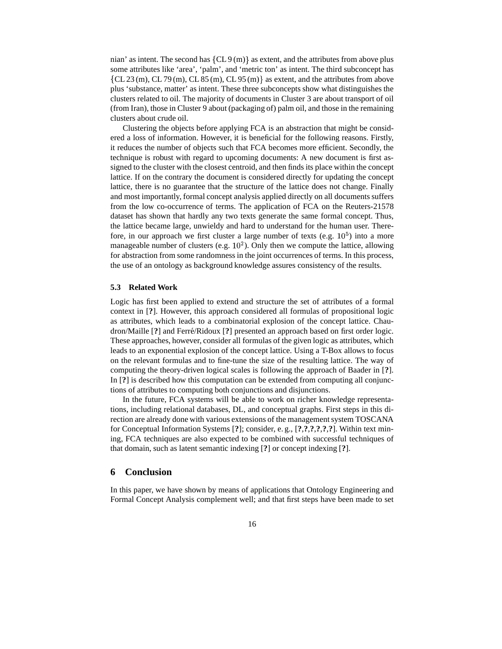nian' as intent. The second has  ${CL9(m)}$  as extent, and the attributes from above plus some attributes like 'area', 'palm', and 'metric ton' as intent. The third subconcept has  $\{CL\,23\,(m),\,CL\,79\,(m),\,CL\,85\,(m),\,CL\,95\,(m)\}$  as extent, and the attributes from above plus 'substance, matter' as intent. These three subconcepts show what distinguishes the clusters related to oil. The majority of documents in Cluster 3 are about transport of oil (from Iran), those in Cluster 9 about (packaging of) palm oil, and those in the remaining clusters about crude oil.

Clustering the objects before applying FCA is an abstraction that might be considered a loss of information. However, it is beneficial for the following reasons. Firstly, it reduces the number of objects such that FCA becomes more efficient. Secondly, the technique is robust with regard to upcoming documents: A new document is first assigned to the cluster with the closest centroid, and then finds its place within the concept lattice. If on the contrary the document is considered directly for updating the concept lattice, there is no guarantee that the structure of the lattice does not change. Finally and most importantly, formal concept analysis applied directly on all documents suffers from the low co-occurrence of terms. The application of FCA on the Reuters-21578 dataset has shown that hardly any two texts generate the same formal concept. Thus, the lattice became large, unwieldy and hard to understand for the human user. Therefore, in our approach we first cluster a large number of texts (e.g.  $10^5$ ) into a more manageable number of clusters (e.g.  $10^2$ ). Only then we compute the lattice, allowing for abstraction from some randomness in the joint occurrences of terms. In this process, the use of an ontology as background knowledge assures consistency of the results.

#### **5.3 Related Work**

Logic has first been applied to extend and structure the set of attributes of a formal context in [**?**]. However, this approach considered all formulas of propositional logic as attributes, which leads to a combinatorial explosion of the concept lattice. Chaudron/Maille [?] and Ferré/Ridoux [?] presented an approach based on first order logic. These approaches, however, consider all formulas of the given logic as attributes, which leads to an exponential explosion of the concept lattice. Using a T-Box allows to focus on the relevant formulas and to fine-tune the size of the resulting lattice. The way of computing the theory-driven logical scales is following the approach of Baader in [**?**]. In [**?**] is described how this computation can be extended from computing all conjunctions of attributes to computing both conjunctions and disjunctions.

In the future, FCA systems will be able to work on richer knowledge representations, including relational databases, DL, and conceptual graphs. First steps in this direction are already done with various extensions of the management system TOSCANA for Conceptual Information Systems [**?**]; consider, e. g., [**?**,**?**,**?**,**?**,**?**,**?**]. Within text mining, FCA techniques are also expected to be combined with successful techniques of that domain, such as latent semantic indexing [**?**] or concept indexing [**?**].

## **6 Conclusion**

In this paper, we have shown by means of applications that Ontology Engineering and Formal Concept Analysis complement well; and that first steps have been made to set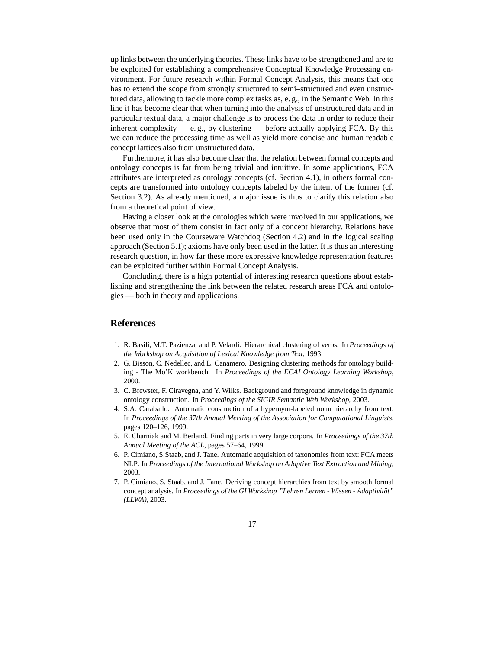up links between the underlying theories. These links have to be strengthened and are to be exploited for establishing a comprehensive Conceptual Knowledge Processing environment. For future research within Formal Concept Analysis, this means that one has to extend the scope from strongly structured to semi–structured and even unstructured data, allowing to tackle more complex tasks as, e. g., in the Semantic Web. In this line it has become clear that when turning into the analysis of unstructured data and in particular textual data, a major challenge is to process the data in order to reduce their inherent complexity  $-$  e.g., by clustering  $-$  before actually applying FCA. By this we can reduce the processing time as well as yield more concise and human readable concept lattices also from unstructured data.

Furthermore, it has also become clear that the relation between formal concepts and ontology concepts is far from being trivial and intuitive. In some applications, FCA attributes are interpreted as ontology concepts (cf. Section 4.1), in others formal concepts are transformed into ontology concepts labeled by the intent of the former (cf. Section 3.2). As already mentioned, a major issue is thus to clarify this relation also from a theoretical point of view.

Having a closer look at the ontologies which were involved in our applications, we observe that most of them consist in fact only of a concept hierarchy. Relations have been used only in the Courseware Watchdog (Section 4.2) and in the logical scaling approach (Section 5.1); axioms have only been used in the latter. It is thus an interesting research question, in how far these more expressive knowledge representation features can be exploited further within Formal Concept Analysis.

Concluding, there is a high potential of interesting research questions about establishing and strengthening the link between the related research areas FCA and ontologies — both in theory and applications.

# **References**

- 1. R. Basili, M.T. Pazienza, and P. Velardi. Hierarchical clustering of verbs. In *Proceedings of the Workshop on Acquisition of Lexical Knowledge from Text*, 1993.
- 2. G. Bisson, C. Nedellec, and L. Canamero. Designing clustering methods for ontology building - The Mo'K workbench. In *Proceedings of the ECAI Ontology Learning Workshop*, 2000.
- 3. C. Brewster, F. Ciravegna, and Y. Wilks. Background and foreground knowledge in dynamic ontology construction. In *Proceedings of the SIGIR Semantic Web Workshop*, 2003.
- 4. S.A. Caraballo. Automatic construction of a hypernym-labeled noun hierarchy from text. In *Proceedings of the 37th Annual Meeting of the Association for Computational Linguists*, pages 120–126, 1999.
- 5. E. Charniak and M. Berland. Finding parts in very large corpora. In *Proceedings of the 37th Annual Meeting of the ACL*, pages 57–64, 1999.
- 6. P. Cimiano, S.Staab, and J. Tane. Automatic acquisition of taxonomies from text: FCA meets NLP. In *Proceedings of the International Workshop on Adaptive Text Extraction and Mining*, 2003.
- 7. P. Cimiano, S. Staab, and J. Tane. Deriving concept hierarchies from text by smooth formal concept analysis. In *Proceedings of the GI Workshop "Lehren Lernen - Wissen - AdaptivitatӬ (LLWA)*, 2003.